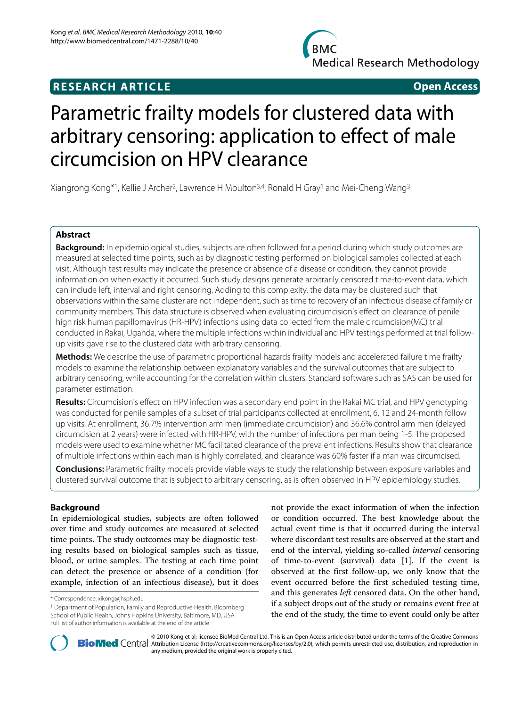



# Parametric frailty models for clustered data with arbitrary censoring: application to effect of male circumcision on HPV clearance

Xiangrong Kong<sup>\*1</sup>, Kellie J Archer<sup>2</sup>, Lawrence H Moulton<sup>3,4</sup>, Ronald H Gray<sup>1</sup> and Mei-Cheng Wang<sup>3</sup>

# **Abstract**

**Background:** In epidemiological studies, subjects are often followed for a period during which study outcomes are measured at selected time points, such as by diagnostic testing performed on biological samples collected at each visit. Although test results may indicate the presence or absence of a disease or condition, they cannot provide information on when exactly it occurred. Such study designs generate arbitrarily censored time-to-event data, which can include left, interval and right censoring. Adding to this complexity, the data may be clustered such that observations within the same cluster are not independent, such as time to recovery of an infectious disease of family or community members. This data structure is observed when evaluating circumcision's effect on clearance of penile high risk human papillomavirus (HR-HPV) infections using data collected from the male circumcision(MC) trial conducted in Rakai, Uganda, where the multiple infections within individual and HPV testings performed at trial followup visits gave rise to the clustered data with arbitrary censoring.

**Methods:** We describe the use of parametric proportional hazards frailty models and accelerated failure time frailty models to examine the relationship between explanatory variables and the survival outcomes that are subject to arbitrary censoring, while accounting for the correlation within clusters. Standard software such as SAS can be used for parameter estimation.

**Results:** Circumcision's effect on HPV infection was a secondary end point in the Rakai MC trial, and HPV genotyping was conducted for penile samples of a subset of trial participants collected at enrollment, 6, 12 and 24-month follow up visits. At enrollment, 36.7% intervention arm men (immediate circumcision) and 36.6% control arm men (delayed circumcision at 2 years) were infected with HR-HPV, with the number of infections per man being 1-5. The proposed models were used to examine whether MC facilitated clearance of the prevalent infections. Results show that clearance of multiple infections within each man is highly correlated, and clearance was 60% faster if a man was circumcised.

**Conclusions:** Parametric frailty models provide viable ways to study the relationship between exposure variables and clustered survival outcome that is subject to arbitrary censoring, as is often observed in HPV epidemiology studies.

# **Background**

In epidemiological studies, subjects are often followed over time and study outcomes are measured at selected time points. The study outcomes may be diagnostic testing results based on biological samples such as tissue, blood, or urine samples. The testing at each time point can detect the presence or absence of a condition (for example, infection of an infectious disease), but it does

not provide the exact information of when the infection or condition occurred. The best knowledge about the actual event time is that it occurred during the interval where discordant test results are observed at the start and end of the interval, yielding so-called *interval* censoring of time-to-event (survival) data [\[1](#page-7-0)]. If the event is observed at the first follow-up, we only know that the event occurred before the first scheduled testing time, and this generates *left* censored data. On the other hand, if a subject drops out of the study or remains event free at the end of the study, the time to event could only be after



2010 Kong et al; licensee [BioMed](http://www.biomedcentral.com/) Central Ltd. This is an Open Access article distributed under the terms of the Creative Commons (http://creativecommons.org/licenses/by/2.0), which permits unrestricted use, distribution, a any medium, provided the original work is properly cited.

<sup>\*</sup> Correspondence: xikong@jhsph.edu

<sup>&</sup>lt;sup>1</sup> Department of Population, Family and Reproductive Health, Bloomberg School of Public Health, Johns Hopkins University, Baltimore, MD, USA Full list of author information is available at the end of the article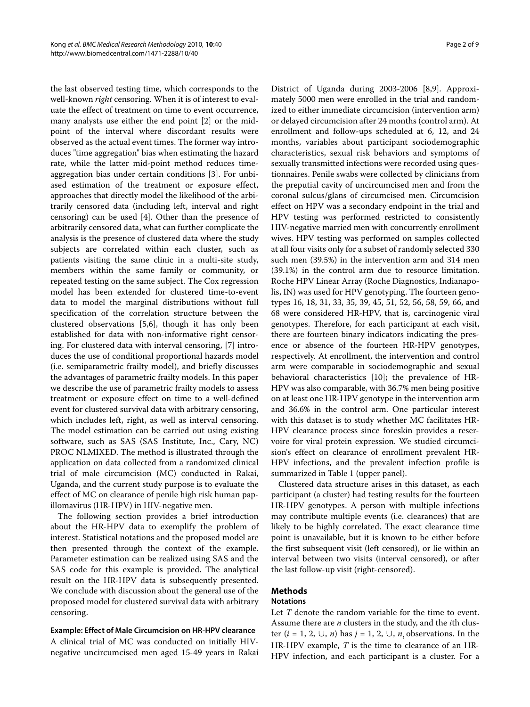the last observed testing time, which corresponds to the well-known *right* censoring. When it is of interest to evaluate the effect of treatment on time to event occurrence, many analysts use either the end point [\[2](#page-7-1)] or the midpoint of the interval where discordant results were observed as the actual event times. The former way introduces "time aggregation" bias when estimating the hazard rate, while the latter mid-point method reduces timeaggregation bias under certain conditions [\[3](#page-7-2)]. For unbiased estimation of the treatment or exposure effect, approaches that directly model the likelihood of the arbitrarily censored data (including left, interval and right censoring) can be used [\[4](#page-7-3)]. Other than the presence of arbitrarily censored data, what can further complicate the analysis is the presence of clustered data where the study subjects are correlated within each cluster, such as patients visiting the same clinic in a multi-site study, members within the same family or community, or repeated testing on the same subject. The Cox regression model has been extended for clustered time-to-event data to model the marginal distributions without full specification of the correlation structure between the clustered observations [[5,](#page-7-4)[6\]](#page-8-0), though it has only been established for data with non-informative right censoring. For clustered data with interval censoring, [[7\]](#page-8-1) introduces the use of conditional proportional hazards model (i.e. semiparametric frailty model), and briefly discusses the advantages of parametric frailty models. In this paper we describe the use of parametric frailty models to assess treatment or exposure effect on time to a well-defined event for clustered survival data with arbitrary censoring, which includes left, right, as well as interval censoring. The model estimation can be carried out using existing software, such as SAS (SAS Institute, Inc., Cary, NC) PROC NLMIXED. The method is illustrated through the application on data collected from a randomized clinical trial of male circumcision (MC) conducted in Rakai, Uganda, and the current study purpose is to evaluate the effect of MC on clearance of penile high risk human papillomavirus (HR-HPV) in HIV-negative men.

The following section provides a brief introduction about the HR-HPV data to exemplify the problem of interest. Statistical notations and the proposed model are then presented through the context of the example. Parameter estimation can be realized using SAS and the SAS code for this example is provided. The analytical result on the HR-HPV data is subsequently presented. We conclude with discussion about the general use of the proposed model for clustered survival data with arbitrary censoring.

## **Example: Effect of Male Circumcision on HR-HPV clearance**

A clinical trial of MC was conducted on initially HIVnegative uncircumcised men aged 15-49 years in Rakai

District of Uganda during 2003-2006 [\[8](#page-8-2)[,9](#page-8-3)]. Approximately 5000 men were enrolled in the trial and randomized to either immediate circumcision (intervention arm) or delayed circumcision after 24 months (control arm). At enrollment and follow-ups scheduled at 6, 12, and 24 months, variables about participant sociodemographic characteristics, sexual risk behaviors and symptoms of sexually transmitted infections were recorded using questionnaires. Penile swabs were collected by clinicians from the preputial cavity of uncircumcised men and from the coronal sulcus/glans of circumcised men. Circumcision effect on HPV was a secondary endpoint in the trial and HPV testing was performed restricted to consistently HIV-negative married men with concurrently enrollment wives. HPV testing was performed on samples collected at all four visits only for a subset of randomly selected 330 such men (39.5%) in the intervention arm and 314 men (39.1%) in the control arm due to resource limitation. Roche HPV Linear Array (Roche Diagnostics, Indianapolis, IN) was used for HPV genotyping. The fourteen genotypes 16, 18, 31, 33, 35, 39, 45, 51, 52, 56, 58, 59, 66, and 68 were considered HR-HPV, that is, carcinogenic viral genotypes. Therefore, for each participant at each visit, there are fourteen binary indicators indicating the presence or absence of the fourteen HR-HPV genotypes, respectively. At enrollment, the intervention and control arm were comparable in sociodemographic and sexual behavioral characteristics [\[10\]](#page-8-4); the prevalence of HR-HPV was also comparable, with 36.7% men being positive on at least one HR-HPV genotype in the intervention arm and 36.6% in the control arm. One particular interest with this dataset is to study whether MC facilitates HR-HPV clearance process since foreskin provides a reservoire for viral protein expression. We studied circumcision's effect on clearance of enrollment prevalent HR-HPV infections, and the prevalent infection profile is summarized in Table 1 (upper panel).

Clustered data structure arises in this dataset, as each participant (a cluster) had testing results for the fourteen HR-HPV genotypes. A person with multiple infections may contribute multiple events (i.e. clearances) that are likely to be highly correlated. The exact clearance time point is unavailable, but it is known to be either before the first subsequent visit (left censored), or lie within an interval between two visits (interval censored), or after the last follow-up visit (right-censored).

# **Methods**

## **Notations**

Let *T* denote the random variable for the time to event. Assume there are *n* clusters in the study, and the *i*th cluster  $(i = 1, 2, \cup, n)$  has  $j = 1, 2, \cup, n_i$  observations. In the HR-HPV example, *T* is the time to clearance of an HR-HPV infection, and each participant is a cluster. For a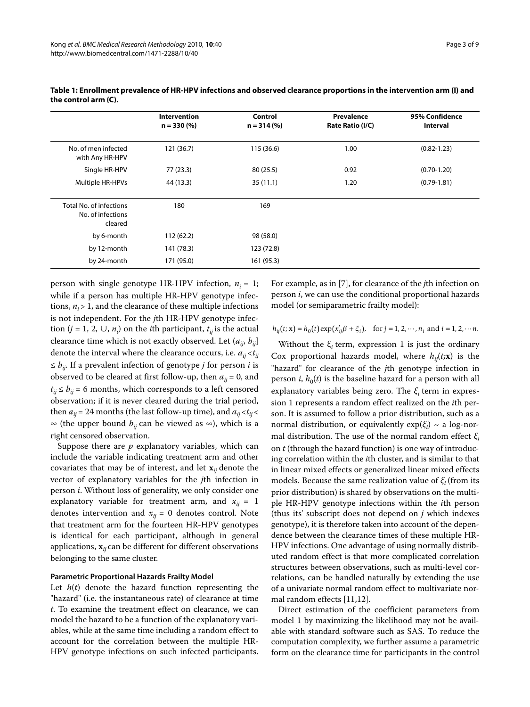|                                                         | <b>Intervention</b><br>$n = 330 (%)$ | Control<br>$n = 314 (%)$ | Prevalence<br>Rate Ratio (I/C) | 95% Confidence<br><b>Interval</b> |
|---------------------------------------------------------|--------------------------------------|--------------------------|--------------------------------|-----------------------------------|
| No. of men infected<br>with Any HR-HPV                  | 121 (36.7)                           | 115(36.6)                | 1.00                           | $(0.82 - 1.23)$                   |
| Single HR-HPV                                           | 77 (23.3)                            | 80 (25.5)                | 0.92                           | $(0.70 - 1.20)$                   |
| Multiple HR-HPVs                                        | 44 (13.3)                            | 35(11.1)                 | 1.20                           | $(0.79 - 1.81)$                   |
| Total No. of infections<br>No. of infections<br>cleared | 180                                  | 169                      |                                |                                   |
| by 6-month                                              | 112(62.2)                            | 98 (58.0)                |                                |                                   |
| by 12-month                                             | 141 (78.3)                           | 123 (72.8)               |                                |                                   |
| by 24-month                                             | 171 (95.0)                           | 161 (95.3)               |                                |                                   |

**Table 1: Enrollment prevalence of HR-HPV infections and observed clearance proportions in the intervention arm (I) and the control arm (C).**

person with single genotype HR-HPV infection,  $n_i = 1$ ; while if a person has multiple HR-HPV genotype infections,  $n_i$  > 1, and the clearance of these multiple infections is not independent. For the *j*th HR-HPV genotype infection ( $j = 1, 2, \cup, n_i$ ) on the *i*th participant,  $t_{ij}$  is the actual clearance time which is not exactly observed. Let (*aij*, *bij*] denote the interval where the clearance occurs, i.e.  $a_{ii} < t_{ii}$ ≤ *bij*. If a prevalent infection of genotype *j* for person *i* is observed to be cleared at first follow-up, then  $a_{ii} = 0$ , and  $t_{ii} \le b_{ii} = 6$  months, which corresponds to a left censored observation; if it is never cleared during the trial period, then  $a_{ii}$  = 24 months (the last follow-up time), and  $a_{ii} < t_{ii}$  $∞$  (the upper bound  $b_{ij}$  can be viewed as  $∞$ ), which is a right censored observation.

Suppose there are *p* explanatory variables, which can include the variable indicating treatment arm and other covariates that may be of interest, and let  $\mathbf{x}_{ii}$  denote the vector of explanatory variables for the *j*th infection in person *i*. Without loss of generality, we only consider one explanatory variable for treatment arm, and  $x_{ii} = 1$ denotes intervention and  $x_{ij} = 0$  denotes control. Note that treatment arm for the fourteen HR-HPV genotypes is identical for each participant, although in general applications,  $\mathbf{x}_{ii}$  can be different for different observations belonging to the same cluster.

## **Parametric Proportional Hazards Frailty Model**

Let  $h(t)$  denote the hazard function representing the "hazard" (i.e. the instantaneous rate) of clearance at time *t*. To examine the treatment effect on clearance, we can model the hazard to be a function of the explanatory variables, while at the same time including a random effect to account for the correlation between the multiple HR-HPV genotype infections on such infected participants.

For example, as in [\[7](#page-8-1)], for clearance of the *j*th infection on person *i*, we can use the conditional proportional hazards model (or semiparametric frailty model):

## $h_{ij}(t; \mathbf{x}) = h_0(t) \exp(x'_{ij}\beta + \xi_i), \text{ for } j = 1, 2, \dots, n_i \text{ and } i = 1, 2, \dots, n.$

Without the  $\xi$ <sub>*i*</sub> term, expression 1 is just the ordinary Cox proportional hazards model, where  $h_{ii}(t; \mathbf{x})$  is the "hazard" for clearance of the *j*th genotype infection in person *i*,  $h_0(t)$  is the baseline hazard for a person with all explanatory variables being zero. The  $\xi$ <sub>i</sub> term in expression 1 represents a random effect realized on the *i*th person. It is assumed to follow a prior distribution, such as a normal distribution, or equivalently  $\exp(\xi_i) \sim$  a log-normal distribution. The use of the normal random effect *ξi* on *t* (through the hazard function) is one way of introducing correlation within the *i*th cluster, and is similar to that in linear mixed effects or generalized linear mixed effects models. Because the same realization value of  $\xi$ <sub>i</sub> (from its prior distribution) is shared by observations on the multiple HR-HPV genotype infections within the *i*th person (thus its' subscript does not depend on *j* which indexes genotype), it is therefore taken into account of the dependence between the clearance times of these multiple HR-HPV infections. One advantage of using normally distributed random effect is that more complicated correlation structures between observations, such as multi-level correlations, can be handled naturally by extending the use of a univariate normal random effect to multivariate normal random effects [\[11,](#page-8-5)[12\]](#page-8-6).

Direct estimation of the coefficient parameters from model 1 by maximizing the likelihood may not be available with standard software such as SAS. To reduce the computation complexity, we further assume a parametric form on the clearance time for participants in the control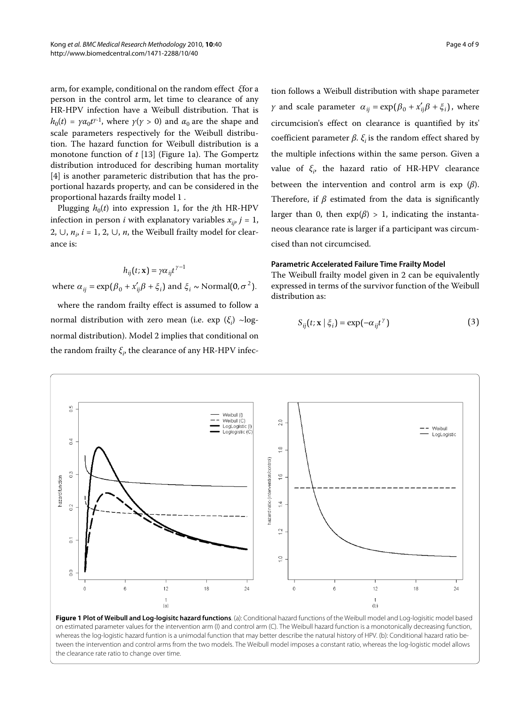arm, for example, conditional on the random effect *ξ*for a person in the control arm, let time to clearance of any HR-HPV infection have a Weibull distribution. That is  $h_0(t) = \gamma \alpha_0 t^{\gamma-1}$ , where  $\gamma(\gamma > 0)$  and  $\alpha_0$  are the shape and scale parameters respectively for the Weibull distribution. The hazard function for Weibull distribution is a monotone function of *t* [[13\]](#page-8-7) (Figure [1a](#page-3-0)). The Gompertz distribution introduced for describing human mortality [[4\]](#page-7-3) is another parameteric distribution that has the proportional hazards property, and can be considered in the proportional hazards frailty model 1 .

Plugging  $h_0(t)$  into expression 1, for the *j*th HR-HPV infection in person *i* with explanatory variables  $x_{ij}$ ,  $j = 1$ , 2,  $\cup$ ,  $n_i$ ,  $i = 1, 2, \cup$ ,  $n$ , the Weibull frailty model for clearance is:

$$
h_{ij}(t; \mathbf{x}) = \gamma \alpha_{ij} t^{\gamma - 1}
$$
  
where  $\alpha_{ij} = \exp(\beta_0 + x_{ij}'\beta + \xi_i)$  and  $\xi_i \sim \text{Normal}(0, \sigma^2)$ .

where the random frailty effect is assumed to follow a normal distribution with zero mean (i.e. exp (*ξi* ) ~lognormal distribution). Model 2 implies that conditional on the random frailty  $\xi_i$ , the clearance of any HR-HPV infec-

tion follows a Weibull distribution with shape parameter *γ* and scale parameter  $\alpha_{ij} = \exp(\beta_0 + x'_{ij}\beta + \xi_i)$ , where circumcision's effect on clearance is quantified by its' coefficient parameter  $β$ .  $ξ<sub>i</sub>$  is the random effect shared by the multiple infections within the same person. Given a value of  $\xi_i$ , the hazard ratio of HR-HPV clearance

Therefore, if *β* estimated from the data is significantly larger than 0, then  $exp(\beta) > 1$ , indicating the instantaneous clearance rate is larger if a participant was circumcised than not circumcised.

between the intervention and control arm is exp (*β*).

## **Parametric Accelerated Failure Time Frailty Model**

The Weibull frailty model given in 2 can be equivalently expressed in terms of the survivor function of the Weibull distribution as:

$$
S_{ij}(t; \mathbf{x} \mid \xi_i) = \exp(-\alpha_{ij}t^{\gamma})
$$
\n(3)

<span id="page-3-0"></span>

on estimated parameter values for the intervention arm (I) and control arm (C). The Weibull hazard function is a monotonically decreasing function, whereas the log-logistic hazard funtion is a unimodal function that may better describe the natural history of HPV. (b): Conditional hazard ratio between the intervention and control arms from the two models. The Weibull model imposes a constant ratio, whereas the log-logistic model allows the clearance rate ratio to change over time.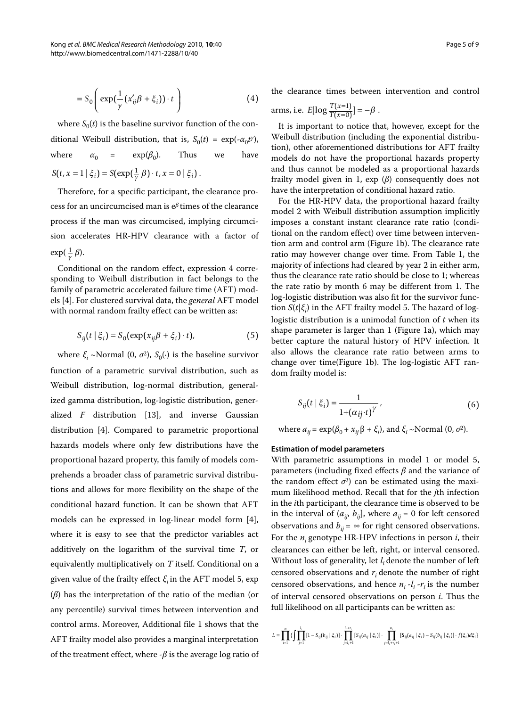$$
=S_0\left(\exp\left(\frac{1}{\gamma}(x_{ij}'\beta+\xi_i)\right)\cdot t\right) \tag{4}
$$

where  $S_0(t)$  is the baseline survivor function of the conditional Weibull distribution, that is,  $S_0(t) = \exp(-\alpha_0 t^{\gamma})$ , where  $\alpha_0 = \exp(\beta_0)$ . Thus we have  $S(t, x = 1 | \xi_i) = S(\exp(\frac{1}{\gamma} \beta) \cdot t, x = 0 | \xi_i).$ 

Therefore, for a specific participant, the clearance process for an uncircumcised man is e*<sup>β</sup>*times of the clearance process if the man was circumcised, implying circumcision accelerates HR-HPV clearance with a factor of exp( $\frac{1}{\gamma}$ β).

Conditional on the random effect, expression 4 corresponding to Weibull distribution in fact belongs to the family of parametric accelerated failure time (AFT) models [[4\]](#page-7-3). For clustered survival data, the *general* AFT model with normal random frailty effect can be written as:

$$
S_{ij}(t \mid \xi_i) = S_0(\exp(x_{ij}\beta + \xi_i) \cdot t), \tag{5}
$$

where  $\mathcal{E}_i$  ~Normal (0,  $\sigma^2$ ),  $\mathcal{S}_0(\cdot)$  is the baseline survivor function of a parametric survival distribution, such as Weibull distribution, log-normal distribution, generalized gamma distribution, log-logistic distribution, generalized *F* distribution [[13](#page-8-7)], and inverse Gaussian distribution [[4\]](#page-7-3). Compared to parametric proportional hazards models where only few distributions have the proportional hazard property, this family of models comprehends a broader class of parametric survival distributions and allows for more flexibility on the shape of the conditional hazard function. It can be shown that AFT models can be expressed in log-linear model form [\[4](#page-7-3)], where it is easy to see that the predictor variables act additively on the logarithm of the survival time *T*, or equivalently multiplicatively on *T* itself. Conditional on a given value of the frailty effect *ξi* in the AFT model 5, exp (*β*) has the interpretation of the ratio of the median (or any percentile) survival times between intervention and control arms. Moreover, Additional file [1](#page-7-5) shows that the AFT frailty model also provides a marginal interpretation of the treatment effect, where -*β* is the average log ratio of the clearance times between intervention and control

arms, i.e. 
$$
E[log \frac{T(x=1)}{T(x=0)}] = -\beta
$$
.

It is important to notice that, however, except for the Weibull distribution (including the exponential distribution), other aforementioned distributions for AFT frailty models do not have the proportional hazards property and thus cannot be modeled as a proportional hazards frailty model given in 1, exp (*β*) consequently does not have the interpretation of conditional hazard ratio.

For the HR-HPV data, the proportional hazard frailty model 2 with Weibull distribution assumption implicitly imposes a constant instant clearance rate ratio (conditional on the random effect) over time between intervention arm and control arm (Figure [1](#page-3-0)b). The clearance rate ratio may however change over time. From Table 1, the majority of infections had cleared by year 2 in either arm, thus the clearance rate ratio should be close to 1; whereas the rate ratio by month 6 may be different from 1. The log-logistic distribution was also fit for the survivor function  $S(t|\xi_i)$  in the AFT frailty model 5. The hazard of loglogistic distribution is a unimodal function of *t* when its shape parameter is larger than 1 (Figure [1](#page-3-0)a), which may better capture the natural history of HPV infection. It also allows the clearance rate ratio between arms to change over time(Figure [1](#page-3-0)b). The log-logistic AFT random frailty model is:

$$
S_{ij}(t \mid \xi_i) = \frac{1}{1 + (\alpha_{ij} \cdot t)^{\gamma}}\tag{6}
$$

where  $a_{ij}$  = exp( $β_0 + x_{ij}β + ξ_i$ ), and  $ξ_i$  ~Normal (0,  $σ^2$ ).

## **Estimation of model parameters**

With parametric assumptions in model 1 or model 5, parameters (including fixed effects *β* and the variance of the random effect  $\sigma^2$ ) can be estimated using the maximum likelihood method. Recall that for the *j*th infection in the *i*th participant, the clearance time is observed to be in the interval of  $(a_{ij}, b_{ij}]$ , where  $a_{ij} = 0$  for left censored observations and  $b_{ij} = \infty$  for right censored observations. For the *ni* genotype HR-HPV infections in person *i*, their clearances can either be left, right, or interval censored. Without loss of generality, let *li* denote the number of left censored observations and *ri* denote the number of right censored observations, and hence  $n_i - l_i - r_i$  is the number of interval censored observations on person *i*. Thus the full likelihood on all participants can be written as:

$$
L = \prod_{i=1}^n \{ \int \prod_{j=1}^{l_i} [1 - S_{ij}(b_{ij} | \xi_i)] \cdot \prod_{j=l_i+1}^{l_i+r_i} [S_{ij}(a_{ij} | \xi_i)] \cdot \prod_{j=l_i+r_i+1}^{n_i} [S_{ij}(a_{ij} | \xi_i) - S_{ij}(b_{ij} | \xi_i)] \cdot f(\xi_i) d\xi_i \}
$$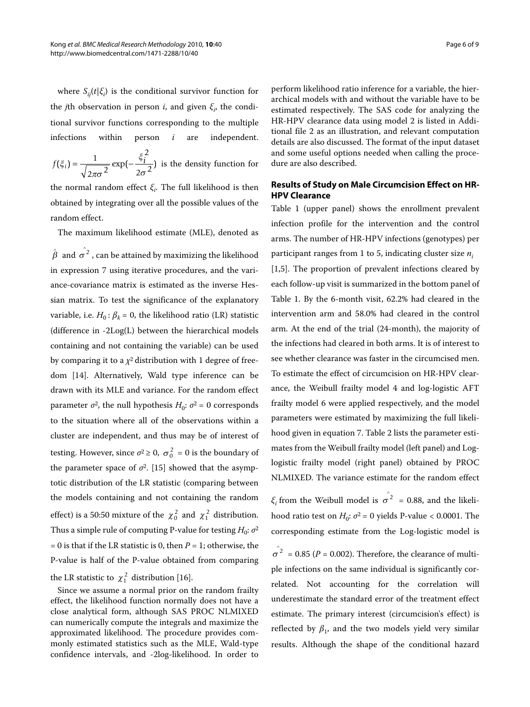where  $S_{ij}(t|\xi_i)$  is the conditional survivor function for the *j*th observation in person *i*, and given  $\xi_i$ , the conditional survivor functions corresponding to the multiple infections within person *i* are independent.

 $f(\xi_i) = \frac{1}{\sqrt{2\pi\sigma^2}} \exp(-\frac{\xi_i}{2\sigma^2})$  is the density function for  $\xi$  $\sigma$  $=\frac{1}{\sqrt{2}} \exp(-\frac{1}{2})$  $2\pi\sigma^2$ 2  $2\sigma^2$ 

the normal random effect *ξi* . The full likelihood is then obtained by integrating over all the possible values of the random effect.

The maximum likelihood estimate (MLE), denoted as

 $\hat{\beta}\,$  and  $\hat{\sigma^2}$  , can be attained by maximizing the likelihood in expression 7 using iterative procedures, and the variance-covariance matrix is estimated as the inverse Hessian matrix. To test the significance of the explanatory variable, i.e.  $H_0$ :  $\beta_k$  = 0, the likelihood ratio (LR) statistic (difference in -2Log(L) between the hierarchical models containing and not containing the variable) can be used by comparing it to a  $\chi^2$  distribution with 1 degree of freedom [\[14](#page-8-8)]. Alternatively, Wald type inference can be drawn with its MLE and variance. For the random effect parameter  $\sigma^2$ , the null hypothesis  $H_0$ :  $\sigma^2 = 0$  corresponds to the situation where all of the observations within a cluster are independent, and thus may be of interest of testing. However, since  $\sigma^2 \ge 0$ ,  $\sigma_0^2 = 0$  is the boundary of the parameter space of  $\sigma^2$ . [\[15](#page-8-9)] showed that the asymptotic distribution of the LR statistic (comparing between the models containing and not containing the random effect) is a 50:50 mixture of the  $\chi_0^2$  and  $\chi_1^2$  distribution. Thus a simple rule of computing P-value for testing  $H_0$ :  $\sigma^2$ = 0 is that if the LR statistic is 0, then *P* = 1; otherwise, the P-value is half of the P-value obtained from comparing the LR statistic to  $\chi_1^2$  distribution [[16\]](#page-8-10).

Since we assume a normal prior on the random frailty effect, the likelihood function normally does not have a close analytical form, although SAS PROC NLMIXED can numerically compute the integrals and maximize the approximated likelihood. The procedure provides commonly estimated statistics such as the MLE, Wald-type confidence intervals, and -2log-likelihood. In order to

perform likelihood ratio inference for a variable, the hierarchical models with and without the variable have to be estimated respectively. The SAS code for analyzing the HR-HPV clearance data using model 2 is listed in Additional file [2](#page-7-6) as an illustration, and relevant computation details are also discussed. The format of the input dataset and some useful options needed when calling the procedure are also described.

# **Results of Study on Male Circumcision Effect on HR-HPV Clearance**

Table 1 (upper panel) shows the enrollment prevalent infection profile for the intervention and the control arms. The number of HR-HPV infections (genotypes) per participant ranges from 1 to 5, indicating cluster size *ni*  [[1,](#page-7-0)[5](#page-7-4)]. The proportion of prevalent infections cleared by each follow-up visit is summarized in the bottom panel of Table 1. By the 6-month visit, 62.2% had cleared in the intervention arm and 58.0% had cleared in the control arm. At the end of the trial (24-month), the majority of the infections had cleared in both arms. It is of interest to see whether clearance was faster in the circumcised men. To estimate the effect of circumcision on HR-HPV clearance, the Weibull frailty model 4 and log-logistic AFT frailty model 6 were applied respectively, and the model parameters were estimated by maximizing the full likelihood given in equation 7. Table 2 lists the parameter estimates from the Weibull frailty model (left panel) and Loglogistic frailty model (right panel) obtained by PROC NLMIXED. The variance estimate for the random effect

 $\xi_i$  from the Weibull model is  $\hat{\sigma}^2 = 0.88$ , and the likelihood ratio test on  $H_0$ :  $\sigma^2$  = 0 yields P-value < 0.0001. The corresponding estimate from the Log-logistic model is

 $\hat{\sigma}^2$  = 0.85 (*P* = 0.002). Therefore, the clearance of multiple infections on the same individual is significantly correlated. Not accounting for the correlation will underestimate the standard error of the treatment effect estimate. The primary interest (circumcision's effect) is reflected by  $\beta_1$ , and the two models yield very similar results. Although the shape of the conditional hazard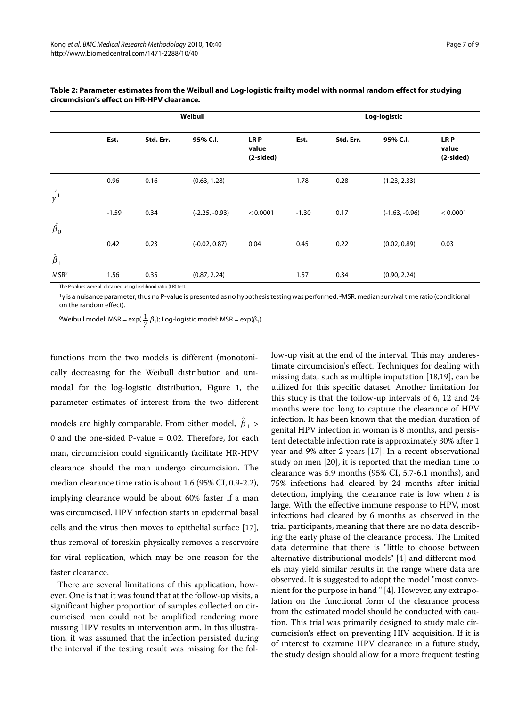|                              |         | Weibull   |                  |                             |         | Log-logistic |                  |                               |  |
|------------------------------|---------|-----------|------------------|-----------------------------|---------|--------------|------------------|-------------------------------|--|
|                              | Est.    | Std. Err. | 95% C.I.         | LR P-<br>value<br>(2-sided) | Est.    | Std. Err.    | 95% C.I.         | LR P-<br>value<br>$(2-sided)$ |  |
|                              | 0.96    | 0.16      | (0.63, 1.28)     |                             | 1.78    | 0.28         | (1.23, 2.33)     |                               |  |
| $\hat{\gamma^1}$             | $-1.59$ | 0.34      | $(-2.25, -0.93)$ | < 0.0001                    | $-1.30$ | 0.17         | $(-1.63, -0.96)$ | < 0.0001                      |  |
| $\hat{\beta_0}$              |         |           |                  |                             |         |              |                  |                               |  |
| $\hat{\boldsymbol{\beta}}_1$ | 0.42    | 0.23      | $(-0.02, 0.87)$  | 0.04                        | 0.45    | 0.22         | (0.02, 0.89)     | 0.03                          |  |
| MSR <sup>2</sup>             | 1.56    | 0.35      | (0.87, 2.24)     |                             | 1.57    | 0.34         | (0.90, 2.24)     |                               |  |

## **Table 2: Parameter estimates from the Weibull and Log-logistic frailty model with normal random effect for studying circumcision's effect on HR-HPV clearance.**

The P-values were all obtained using likelihood ratio (LR) test.

1γ is a nuisance parameter, thus no P-value is presented as no hypothesis testing was performed. 2MSR: median survival time ratio (conditional on the random effect).

<sup>0</sup>Weibull model: MSR = exp(  $\frac{1}{\gamma}$   $\beta_1$ ); Log-logistic model: MSR = exp( $\beta_1$ ).

functions from the two models is different (monotonically decreasing for the Weibull distribution and unimodal for the log-logistic distribution, Figure [1](#page-3-0), the parameter estimates of interest from the two different models are highly comparable. From either model,  $\hat{\boldsymbol{\beta}}_1$  > 0 and the one-sided P-value = 0.02. Therefore, for each man, circumcision could significantly facilitate HR-HPV clearance should the man undergo circumcision. The median clearance time ratio is about 1.6 (95% CI, 0.9-2.2), implying clearance would be about 60% faster if a man was circumcised. HPV infection starts in epidermal basal cells and the virus then moves to epithelial surface [\[17](#page-8-11)], thus removal of foreskin physically removes a reservoire for viral replication, which may be one reason for the faster clearance. 1

There are several limitations of this application, however. One is that it was found that at the follow-up visits, a significant higher proportion of samples collected on circumcised men could not be amplified rendering more missing HPV results in intervention arm. In this illustration, it was assumed that the infection persisted during the interval if the testing result was missing for the follow-up visit at the end of the interval. This may underestimate circumcision's effect. Techniques for dealing with missing data, such as multiple imputation [[18,](#page-8-12)[19\]](#page-8-13), can be utilized for this specific dataset. Another limitation for this study is that the follow-up intervals of 6, 12 and 24 months were too long to capture the clearance of HPV infection. It has been known that the median duration of genital HPV infection in woman is 8 months, and persistent detectable infection rate is approximately 30% after 1 year and 9% after 2 years [\[17](#page-8-11)]. In a recent observational study on men [[20\]](#page-8-14), it is reported that the median time to clearance was 5.9 months (95% CI, 5.7-6.1 months), and 75% infections had cleared by 24 months after initial detection, implying the clearance rate is low when *t* is large. With the effective immune response to HPV, most infections had cleared by 6 months as observed in the trial participants, meaning that there are no data describing the early phase of the clearance process. The limited data determine that there is "little to choose between alternative distributional models" [\[4](#page-7-3)] and different models may yield similar results in the range where data are observed. It is suggested to adopt the model "most convenient for the purpose in hand " [\[4](#page-7-3)]. However, any extrapolation on the functional form of the clearance process from the estimated model should be conducted with caution. This trial was primarily designed to study male circumcision's effect on preventing HIV acquisition. If it is of interest to examine HPV clearance in a future study, the study design should allow for a more frequent testing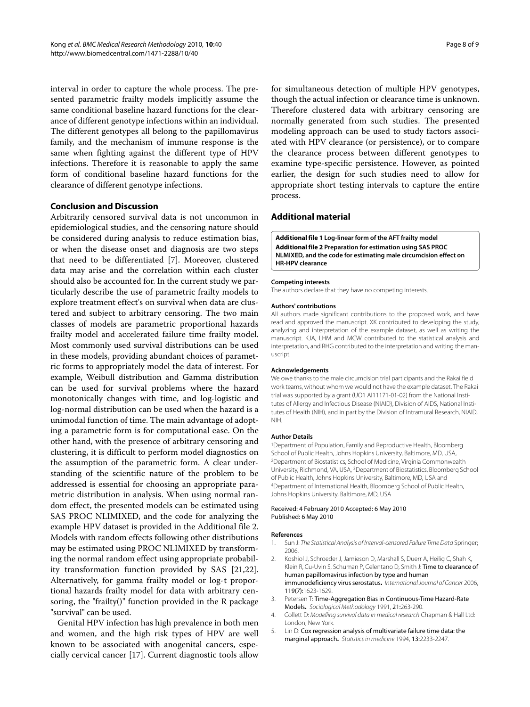interval in order to capture the whole process. The presented parametric frailty models implicitly assume the same conditional baseline hazard functions for the clearance of different genotype infections within an individual. The different genotypes all belong to the papillomavirus family, and the mechanism of immune response is the same when fighting against the different type of HPV infections. Therefore it is reasonable to apply the same form of conditional baseline hazard functions for the clearance of different genotype infections.

## **Conclusion and Discussion**

Arbitrarily censored survival data is not uncommon in epidemiological studies, and the censoring nature should be considered during analysis to reduce estimation bias, or when the disease onset and diagnosis are two steps that need to be differentiated [[7\]](#page-8-1). Moreover, clustered data may arise and the correlation within each cluster should also be accounted for. In the current study we particularly describe the use of parametric frailty models to explore treatment effect's on survival when data are clustered and subject to arbitrary censoring. The two main classes of models are parametric proportional hazards frailty model and accelerated failure time frailty model. Most commonly used survival distributions can be used in these models, providing abundant choices of parametric forms to appropriately model the data of interest. For example, Weibull distribution and Gamma distribution can be used for survival problems where the hazard monotonically changes with time, and log-logistic and log-normal distribution can be used when the hazard is a unimodal function of time. The main advantage of adopting a parametric form is for computational ease. On the other hand, with the presence of arbitrary censoring and clustering, it is difficult to perform model diagnostics on the assumption of the parametric form. A clear understanding of the scientific nature of the problem to be addressed is essential for choosing an appropriate parametric distribution in analysis. When using normal random effect, the presented models can be estimated using SAS PROC NLIMIXED, and the code for analyzing the example HPV dataset is provided in the Additional file [2](#page-7-6). Models with random effects following other distributions may be estimated using PROC NLIMIXED by transforming the normal random effect using appropriate probability transformation function provided by SAS [\[21](#page-8-15)[,22](#page-8-16)]. Alternatively, for gamma frailty model or log-t proportional hazards frailty model for data with arbitrary censoring, the "frailty()" function provided in the R package "survival" can be used.

Genital HPV infection has high prevalence in both men and women, and the high risk types of HPV are well known to be associated with anogenital cancers, especially cervical cancer [\[17\]](#page-8-11). Current diagnostic tools allow

for simultaneous detection of multiple HPV genotypes, though the actual infection or clearance time is unknown. Therefore clustered data with arbitrary censoring are normally generated from such studies. The presented modeling approach can be used to study factors associated with HPV clearance (or persistence), or to compare the clearance process between different genotypes to examine type-specific persistence. However, as pointed earlier, the design for such studies need to allow for appropriate short testing intervals to capture the entire process.

## **Additional material**

<span id="page-7-6"></span><span id="page-7-5"></span>**[Additional file 1](http://www.biomedcentral.com/content/supplementary/1471-2288-10-40-S1.PDF) Log-linear form of the AFT frailty model [Additional file 2](http://www.biomedcentral.com/content/supplementary/1471-2288-10-40-S2.PDF) Preparation for estimation using SAS PROC NLMIXED, and the code for estimating male circumcision effect on HR-HPV clearance**

#### **Competing interests**

The authors declare that they have no competing interests.

#### **Authors' contributions**

All authors made significant contributions to the proposed work, and have read and approved the manuscript. XK contributed to developing the study, analyzing and interpretation of the example dataset, as well as writing the manuscript. KJA, LHM and MCW contributed to the statistical analysis and interpretation, and RHG contributed to the interpretation and writing the manuscript.

## **Acknowledgements**

We owe thanks to the male circumcision trial participants and the Rakai field work teams, without whom we would not have the example dataset. The Rakai trial was supported by a grant (UO1 AI11171-01-02) from the National Institutes of Allergy and Infectious Disease (NIAID), Division of AIDS, National Institutes of Health (NIH), and in part by the Division of Intramural Research, NIAID, NIH.

#### **Author Details**

1Department of Population, Family and Reproductive Health, Bloomberg School of Public Health, Johns Hopkins University, Baltimore, MD, USA, 2Department of Biostatistics, School of Medicine, Virginia Commonwealth University, Richmond, VA, USA, 3Department of Biostatistics, Bloomberg School of Public Health, Johns Hopkins University, Baltimore, MD, USA and 4Department of International Health, Bloomberg School of Public Health, Johns Hopkins University, Baltimore, MD, USA

#### Received: 4 February 2010 Accepted: 6 May 2010 Published: 6 May 2010

#### **References**

- <span id="page-7-0"></span>1. Sun J: The Statistical Analysis of Interval-censored Failure Time Data Springer; 2006.
- <span id="page-7-1"></span>2. Koshiol J, Schroeder J, Jamieson D, Marshall S, Duerr A, Heilig C, Shah K, Klein R, Cu-Uvin S, Schuman P, Celentano D, Smith J: Time to clearance of human papillomavirus infection by type and human immunodeficiency virus serostatus**.** International Journal of Cancer 2006, 119(7):1623-1629.
- <span id="page-7-2"></span>3. Petersen T: Time-Aggregation Bias in Continuous-Time Hazard-Rate Models**.** Sociological Methodology 1991, 21:263-290.
- <span id="page-7-3"></span>4. Collett D: Modelling survival data in medical research Chapman & Hall Ltd: London, New York.
- <span id="page-7-4"></span>5. Lin D: Cox regression analysis of multivariate failure time data: the marginal approach**.** Statistics in medicine 1994, 13:2233-2247.